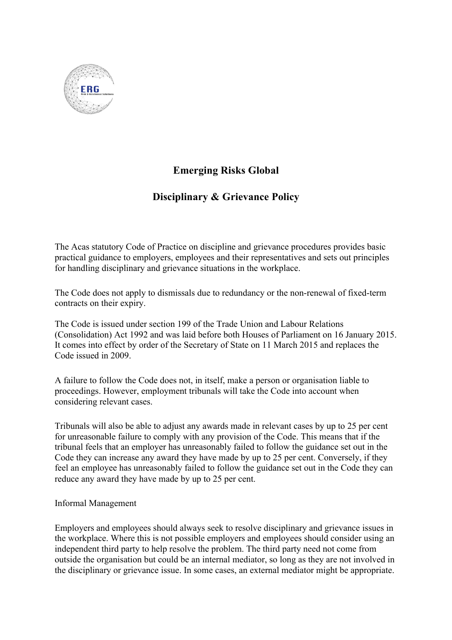

# **Emerging Risks Global**

# **Disciplinary & Grievance Policy**

The Acas statutory Code of Practice on discipline and grievance procedures provides basic practical guidance to employers, employees and their representatives and sets out principles for handling disciplinary and grievance situations in the workplace.

The Code does not apply to dismissals due to redundancy or the non-renewal of fixed-term contracts on their expiry.

The Code is issued under section 199 of the Trade Union and Labour Relations (Consolidation) Act 1992 and was laid before both Houses of Parliament on 16 January 2015. It comes into effect by order of the Secretary of State on 11 March 2015 and replaces the Code issued in 2009.

A failure to follow the Code does not, in itself, make a person or organisation liable to proceedings. However, employment tribunals will take the Code into account when considering relevant cases.

Tribunals will also be able to adjust any awards made in relevant cases by up to 25 per cent for unreasonable failure to comply with any provision of the Code. This means that if the tribunal feels that an employer has unreasonably failed to follow the guidance set out in the Code they can increase any award they have made by up to 25 per cent. Conversely, if they feel an employee has unreasonably failed to follow the guidance set out in the Code they can reduce any award they have made by up to 25 per cent.

# Informal Management

Employers and employees should always seek to resolve disciplinary and grievance issues in the workplace. Where this is not possible employers and employees should consider using an independent third party to help resolve the problem. The third party need not come from outside the organisation but could be an internal mediator, so long as they are not involved in the disciplinary or grievance issue. In some cases, an external mediator might be appropriate.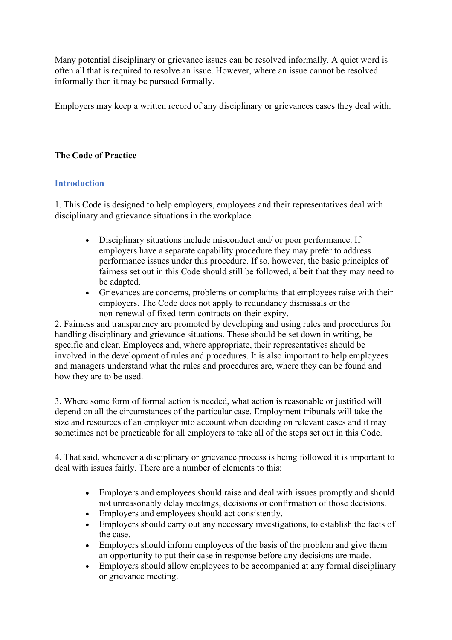Many potential disciplinary or grievance issues can be resolved informally. A quiet word is often all that is required to resolve an issue. However, where an issue cannot be resolved informally then it may be pursued formally.

Employers may keep a written record of any disciplinary or grievances cases they deal with.

# **The Code of Practice**

# **Introduction**

1. This Code is designed to help employers, employees and their representatives deal with disciplinary and grievance situations in the workplace.

- Disciplinary situations include misconduct and/ or poor performance. If employers have a separate capability procedure they may prefer to address performance issues under this procedure. If so, however, the basic principles of fairness set out in this Code should still be followed, albeit that they may need to be adapted.
- Grievances are concerns, problems or complaints that employees raise with their employers. The Code does not apply to redundancy dismissals or the non-renewal of fixed-term contracts on their expiry.

2. Fairness and transparency are promoted by developing and using rules and procedures for handling disciplinary and grievance situations. These should be set down in writing, be specific and clear. Employees and, where appropriate, their representatives should be involved in the development of rules and procedures. It is also important to help employees and managers understand what the rules and procedures are, where they can be found and how they are to be used.

3. Where some form of formal action is needed, what action is reasonable or justified will depend on all the circumstances of the particular case. Employment tribunals will take the size and resources of an employer into account when deciding on relevant cases and it may sometimes not be practicable for all employers to take all of the steps set out in this Code.

4. That said, whenever a disciplinary or grievance process is being followed it is important to deal with issues fairly. There are a number of elements to this:

- Employers and employees should raise and deal with issues promptly and should not unreasonably delay meetings, decisions or confirmation of those decisions.
- Employers and employees should act consistently.
- Employers should carry out any necessary investigations, to establish the facts of the case.
- Employers should inform employees of the basis of the problem and give them an opportunity to put their case in response before any decisions are made.
- Employers should allow employees to be accompanied at any formal disciplinary or grievance meeting.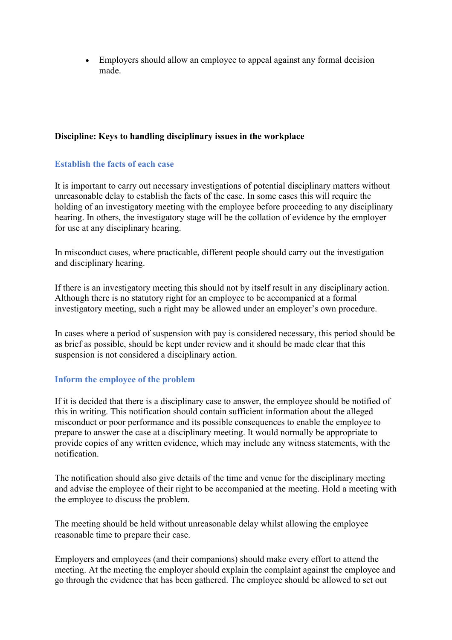• Employers should allow an employee to appeal against any formal decision made.

# **Discipline: Keys to handling disciplinary issues in the workplace**

## **Establish the facts of each case**

It is important to carry out necessary investigations of potential disciplinary matters without unreasonable delay to establish the facts of the case. In some cases this will require the holding of an investigatory meeting with the employee before proceeding to any disciplinary hearing. In others, the investigatory stage will be the collation of evidence by the employer for use at any disciplinary hearing.

In misconduct cases, where practicable, different people should carry out the investigation and disciplinary hearing.

If there is an investigatory meeting this should not by itself result in any disciplinary action. Although there is no statutory right for an employee to be accompanied at a formal investigatory meeting, such a right may be allowed under an employer's own procedure.

In cases where a period of suspension with pay is considered necessary, this period should be as brief as possible, should be kept under review and it should be made clear that this suspension is not considered a disciplinary action.

# **Inform the employee of the problem**

If it is decided that there is a disciplinary case to answer, the employee should be notified of this in writing. This notification should contain sufficient information about the alleged misconduct or poor performance and its possible consequences to enable the employee to prepare to answer the case at a disciplinary meeting. It would normally be appropriate to provide copies of any written evidence, which may include any witness statements, with the notification.

The notification should also give details of the time and venue for the disciplinary meeting and advise the employee of their right to be accompanied at the meeting. Hold a meeting with the employee to discuss the problem.

The meeting should be held without unreasonable delay whilst allowing the employee reasonable time to prepare their case.

Employers and employees (and their companions) should make every effort to attend the meeting. At the meeting the employer should explain the complaint against the employee and go through the evidence that has been gathered. The employee should be allowed to set out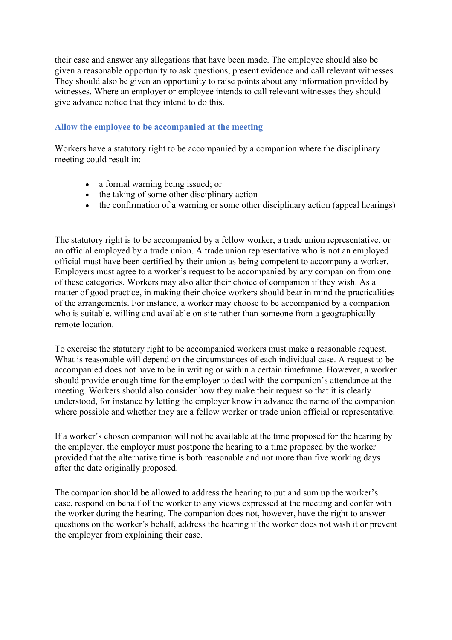their case and answer any allegations that have been made. The employee should also be given a reasonable opportunity to ask questions, present evidence and call relevant witnesses. They should also be given an opportunity to raise points about any information provided by witnesses. Where an employer or employee intends to call relevant witnesses they should give advance notice that they intend to do this.

## **Allow the employee to be accompanied at the meeting**

Workers have a statutory right to be accompanied by a companion where the disciplinary meeting could result in:

- a formal warning being issued; or
- the taking of some other disciplinary action
- the confirmation of a warning or some other disciplinary action (appeal hearings)

The statutory right is to be accompanied by a fellow worker, a trade union representative, or an official employed by a trade union. A trade union representative who is not an employed official must have been certified by their union as being competent to accompany a worker. Employers must agree to a worker's request to be accompanied by any companion from one of these categories. Workers may also alter their choice of companion if they wish. As a matter of good practice, in making their choice workers should bear in mind the practicalities of the arrangements. For instance, a worker may choose to be accompanied by a companion who is suitable, willing and available on site rather than someone from a geographically remote location.

To exercise the statutory right to be accompanied workers must make a reasonable request. What is reasonable will depend on the circumstances of each individual case. A request to be accompanied does not have to be in writing or within a certain timeframe. However, a worker should provide enough time for the employer to deal with the companion's attendance at the meeting. Workers should also consider how they make their request so that it is clearly understood, for instance by letting the employer know in advance the name of the companion where possible and whether they are a fellow worker or trade union official or representative.

If a worker's chosen companion will not be available at the time proposed for the hearing by the employer, the employer must postpone the hearing to a time proposed by the worker provided that the alternative time is both reasonable and not more than five working days after the date originally proposed.

The companion should be allowed to address the hearing to put and sum up the worker's case, respond on behalf of the worker to any views expressed at the meeting and confer with the worker during the hearing. The companion does not, however, have the right to answer questions on the worker's behalf, address the hearing if the worker does not wish it or prevent the employer from explaining their case.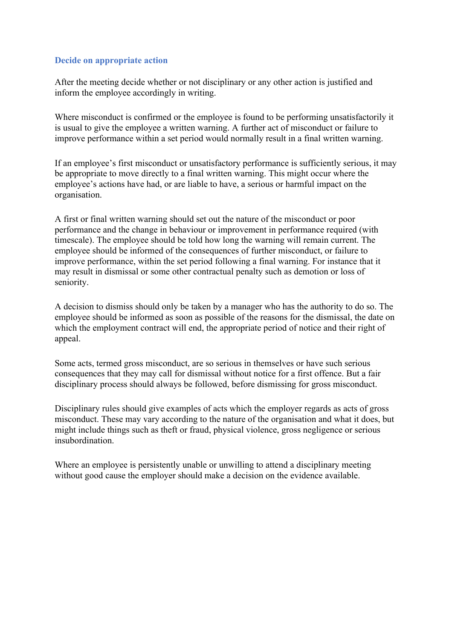### **Decide on appropriate action**

After the meeting decide whether or not disciplinary or any other action is justified and inform the employee accordingly in writing.

Where misconduct is confirmed or the employee is found to be performing unsatisfactorily it is usual to give the employee a written warning. A further act of misconduct or failure to improve performance within a set period would normally result in a final written warning.

If an employee's first misconduct or unsatisfactory performance is sufficiently serious, it may be appropriate to move directly to a final written warning. This might occur where the employee's actions have had, or are liable to have, a serious or harmful impact on the organisation.

A first or final written warning should set out the nature of the misconduct or poor performance and the change in behaviour or improvement in performance required (with timescale). The employee should be told how long the warning will remain current. The employee should be informed of the consequences of further misconduct, or failure to improve performance, within the set period following a final warning. For instance that it may result in dismissal or some other contractual penalty such as demotion or loss of seniority.

A decision to dismiss should only be taken by a manager who has the authority to do so. The employee should be informed as soon as possible of the reasons for the dismissal, the date on which the employment contract will end, the appropriate period of notice and their right of appeal.

Some acts, termed gross misconduct, are so serious in themselves or have such serious consequences that they may call for dismissal without notice for a first offence. But a fair disciplinary process should always be followed, before dismissing for gross misconduct.

Disciplinary rules should give examples of acts which the employer regards as acts of gross misconduct. These may vary according to the nature of the organisation and what it does, but might include things such as theft or fraud, physical violence, gross negligence or serious insubordination.

Where an employee is persistently unable or unwilling to attend a disciplinary meeting without good cause the employer should make a decision on the evidence available.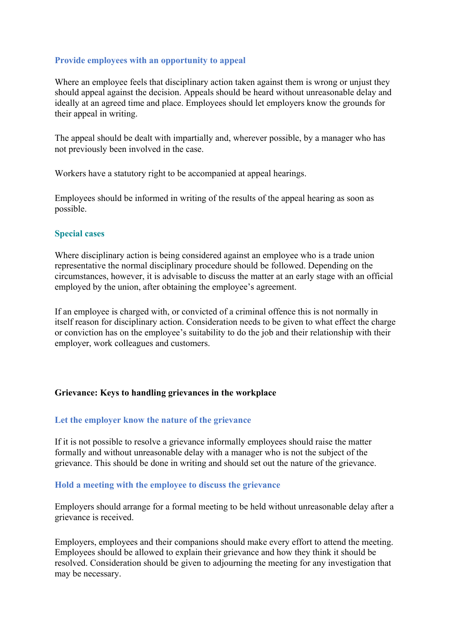## **Provide employees with an opportunity to appeal**

Where an employee feels that disciplinary action taken against them is wrong or unjust they should appeal against the decision. Appeals should be heard without unreasonable delay and ideally at an agreed time and place. Employees should let employers know the grounds for their appeal in writing.

The appeal should be dealt with impartially and, wherever possible, by a manager who has not previously been involved in the case.

Workers have a statutory right to be accompanied at appeal hearings.

Employees should be informed in writing of the results of the appeal hearing as soon as possible.

## **Special cases**

Where disciplinary action is being considered against an employee who is a trade union representative the normal disciplinary procedure should be followed. Depending on the circumstances, however, it is advisable to discuss the matter at an early stage with an official employed by the union, after obtaining the employee's agreement.

If an employee is charged with, or convicted of a criminal offence this is not normally in itself reason for disciplinary action. Consideration needs to be given to what effect the charge or conviction has on the employee's suitability to do the job and their relationship with their employer, work colleagues and customers.

#### **Grievance: Keys to handling grievances in the workplace**

#### **Let the employer know the nature of the grievance**

If it is not possible to resolve a grievance informally employees should raise the matter formally and without unreasonable delay with a manager who is not the subject of the grievance. This should be done in writing and should set out the nature of the grievance.

#### **Hold a meeting with the employee to discuss the grievance**

Employers should arrange for a formal meeting to be held without unreasonable delay after a grievance is received.

Employers, employees and their companions should make every effort to attend the meeting. Employees should be allowed to explain their grievance and how they think it should be resolved. Consideration should be given to adjourning the meeting for any investigation that may be necessary.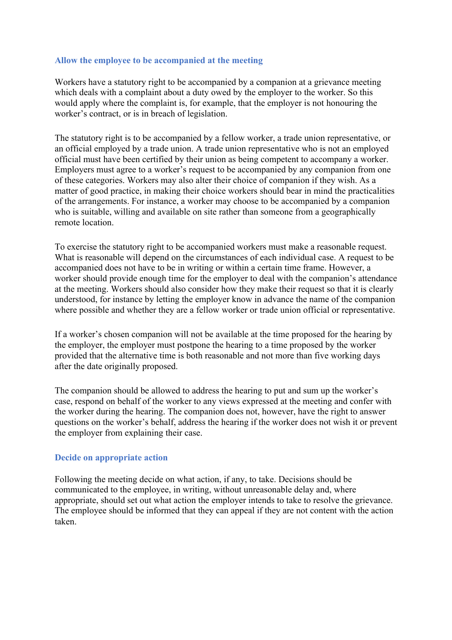## **Allow the employee to be accompanied at the meeting**

Workers have a statutory right to be accompanied by a companion at a grievance meeting which deals with a complaint about a duty owed by the employer to the worker. So this would apply where the complaint is, for example, that the employer is not honouring the worker's contract, or is in breach of legislation.

The statutory right is to be accompanied by a fellow worker, a trade union representative, or an official employed by a trade union. A trade union representative who is not an employed official must have been certified by their union as being competent to accompany a worker. Employers must agree to a worker's request to be accompanied by any companion from one of these categories. Workers may also alter their choice of companion if they wish. As a matter of good practice, in making their choice workers should bear in mind the practicalities of the arrangements. For instance, a worker may choose to be accompanied by a companion who is suitable, willing and available on site rather than someone from a geographically remote location.

To exercise the statutory right to be accompanied workers must make a reasonable request. What is reasonable will depend on the circumstances of each individual case. A request to be accompanied does not have to be in writing or within a certain time frame. However, a worker should provide enough time for the employer to deal with the companion's attendance at the meeting. Workers should also consider how they make their request so that it is clearly understood, for instance by letting the employer know in advance the name of the companion where possible and whether they are a fellow worker or trade union official or representative.

If a worker's chosen companion will not be available at the time proposed for the hearing by the employer, the employer must postpone the hearing to a time proposed by the worker provided that the alternative time is both reasonable and not more than five working days after the date originally proposed.

The companion should be allowed to address the hearing to put and sum up the worker's case, respond on behalf of the worker to any views expressed at the meeting and confer with the worker during the hearing. The companion does not, however, have the right to answer questions on the worker's behalf, address the hearing if the worker does not wish it or prevent the employer from explaining their case.

# **Decide on appropriate action**

Following the meeting decide on what action, if any, to take. Decisions should be communicated to the employee, in writing, without unreasonable delay and, where appropriate, should set out what action the employer intends to take to resolve the grievance. The employee should be informed that they can appeal if they are not content with the action taken.